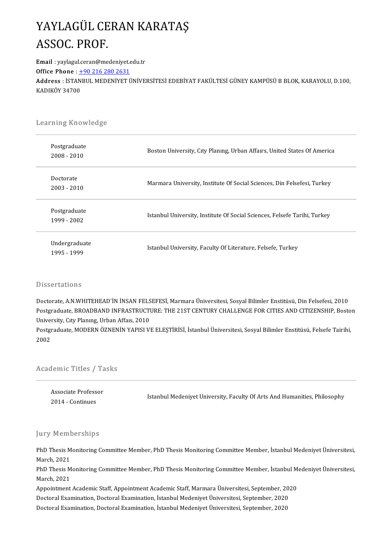## YAYLAGÜL CERAN KARATAŞ<br>ASSOC PROF **YAYLAGÜL CE<br>ASSOC. PROF.**<br>Email : vavlagul.ceran@mee ASSOC. PROF.<br>Email : yaylagul.ceran@medeniyet.<br>Office Phone : +90 216 280 2631

Email: yaylagul.ceran@medeniyet.edu.tr

Email : yaylagul.ceran@medeniyet.edu.tr<br>Office Phone : <u>+90 216 280 2631</u><br>Address : İSTANBUL MEDENİYET ÜNİVERSİTESİ EDEBİYAT FAKÜLTESİ GÜNEY KAMPÜSÜ B BLOK, KARAYOLU, D.100,<br>KADIKÖY 24700 Office Phone : <u>+</u><br>Address : İSTAN<br>KADIKÖY 34700

# .<br>Learning Knowledge

| Learning Knowledge            |                                                                           |  |  |  |
|-------------------------------|---------------------------------------------------------------------------|--|--|--|
| Postgraduate<br>$2008 - 2010$ | Boston University, City Planing, Urban Affairs, United States Of America  |  |  |  |
| Doctorate<br>2003 - 2010      | Marmara University, Institute Of Social Sciences, Din Felsefesi, Turkey   |  |  |  |
| Postgraduate<br>1999 - 2002   | Istanbul University, Institute Of Social Sciences, Felsefe Tarihi, Turkey |  |  |  |
| Undergraduate<br>1995 - 1999  | Istanbul University, Faculty Of Literature, Felsefe, Turkey               |  |  |  |

#### Dissertations

Dissertations<br>Doctorate, A.N.WHITEHEAD'İN İNSAN FELSEFESİ, Marmara Üniversitesi, Sosyal Bilimler Enstitüsü, Din Felsefesi, 2010<br>Postaraduata PROADRAND INERASTRUCTURE: THE 21ST CENTURY CHALLENCE FOR CITIES AND CITIZENSHIR P D'issel tationis<br>Doctorate, A.N.WHITEHEAD'İN İNSAN FELSEFESİ, Marmara Üniversitesi, Sosyal Bilimler Enstitüsü, Din Felsefesi, 2010<br>Postgraduate, BROADBAND INFRASTRUCTURE: THE 21ST CENTURY CHALLENGE FOR CITIES AND CITIZENSH Doctorate, A.N.WHITEHEAD'İN İNSAN FELS<br>Postgraduate, BROADBAND INFRASTRUCTI<br>University, Cıty Planıng, Urban Affaıs, 2010<br>Postgraduate, MODERN ÖZNENİN YARISLYI Postgraduate, BROADBAND INFRASTRUCTURE: THE 21ST CENTURY CHALLENGE FOR CITIES AND CITIZENSHIP, Bosto<br>University, Cıty Planıng, Urban Affaıs, 2010<br>Postgraduate, MODERN ÖZNENİN YAPISI VE ELEŞTİRİSİ, İstanbul Üniversitesi, So

University, Cıty Planıng, Urban Affaıs, 2010<br>Postgraduate, MODERN ÖZNENİN YAPISI VE ELEŞTİRİSİ, İstanbul Üniversitesi, Sosyal Bilimler Enstitüsü, Felsefe Tairihi,<br>2002

# Academic Titles / Tasks

| Associate Professor<br>2014 - Continues | iemic Titles / Tasks |                                                                           |
|-----------------------------------------|----------------------|---------------------------------------------------------------------------|
|                                         |                      | Istanbul Medeniyet University, Faculty Of Arts And Humanities, Philosophy |

#### Jury Memberships

Jury Memberships<br>PhD Thesis Monitoring Committee Member, PhD Thesis Monitoring Committee Member, İstanbul Medeniyet Üniversitesi,<br>Marsh 2021 PhD Thesis M<br>March, 2021<br>PhD Thesis M PhD Thesis Monitoring Committee Member, PhD Thesis Monitoring Committee Member, İstanbul Medeniyet Üniversitesi,<br>March, 2021<br>PhD Thesis Monitoring Committee Member, PhD Thesis Monitoring Committee Member, İstanbul Medeniye

March, 2021<br>PhD Thesis M<br>March, 2021<br>Annaintment PhD Thesis Monitoring Committee Member, PhD Thesis Monitoring Committee Member, İstanbul M<br>March, 2021<br>Appointment Academic Staff, Appointment Academic Staff, Marmara Üniversitesi, September, 2020<br>Destaral Evamination, Des

March, 2021<br>Appointment Academic Staff, Appointment Academic Staff, Marmara Üniversitesi, September, 2020<br>Doctoral Examination, Doctoral Examination, İstanbul Medeniyet Üniversitesi, September, 2020<br>Doctoral Examination, D

Doctoral Examination, Doctoral Examination, İstanbul Medeniyet Üniversitesi, September, 2020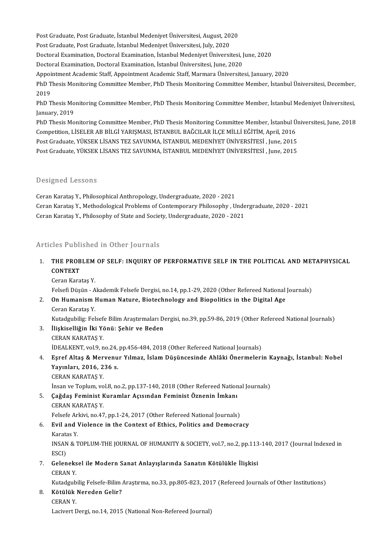Post Graduate, Post Graduate, İstanbul Medeniyet Üniversitesi, August, 2020<br>Post Graduate, Post Graduate, İstanbul Medeniyet Üniversitesi, August, 2020 Post Graduate, Post Graduate, İstanbul Medeniyet Üniversitesi, August, 20<br>Post Graduate, Post Graduate, İstanbul Medeniyet Üniversitesi, July, 2020<br>Destaral Evamination, Destaral Evamination, İstanbul Medeniyet Üniversi

Post Graduate, Post Graduate, İstanbul Medeniyet Üniversitesi, August, 2020<br>Post Graduate, Post Graduate, İstanbul Medeniyet Üniversitesi, July, 2020<br>Doctoral Examination, Doctoral Examination, İstanbul Medeniyet Üniversit

Post Graduate, Post Graduate, İstanbul Medeniyet Üniversitesi, July, 2020<br>Doctoral Examination, Doctoral Examination, İstanbul Medeniyet Üniversitesi, J<br>Doctoral Examination, Doctoral Examination, İstanbul Üniversitesi, Ju

Doctoral Examination, Doctoral Examination, İstanbul Medeniyet Üniversitesi, June, 2020<br>Doctoral Examination, Doctoral Examination, İstanbul Üniversitesi, June, 2020<br>Appointment Academic Staff, Appointment Academic Staff,

Doctoral Examination, Doctoral Examination, İstanbul Üniversitesi, June, 2020<br>Appointment Academic Staff, Appointment Academic Staff, Marmara Üniversitesi, January, 2020<br>PhD Thesis Monitoring Committee Member, PhD Thesis M Appoi<br>PhD T<br>2019<br>פרט PhD Thesis Monitoring Committee Member, PhD Thesis Monitoring Committee Member, İstanbul Üniversitesi, December,<br>2019<br>PhD Thesis Monitoring Committee Member, PhD Thesis Monitoring Committee Member, İstanbul Medeniyet Ünive

2019<br>PhD Thesis Mo<br>January, 2019<br>PhD Thesis Mo PhD Thesis Monitoring Committee Member, PhD Thesis Monitoring Committee Member, İstanbul Medeniyet Üniversitesi,<br>January, 2019<br>PhD Thesis Monitoring Committee Member, PhD Thesis Monitoring Committee Member, İstanbul Üniver

January, 2019<br>PhD Thesis Monitoring Committee Member, PhD Thesis Monitoring Committee Member, İstanbul Ü<br>Competition, LİSELER AB BİLGİ YARIŞMASI, İSTANBUL BAĞCILAR İLÇE MİLLİ EĞİTİM, April, 2016<br>Pest Craduate YÜKSEK LİSANS PhD Thesis Monitoring Committee Member, PhD Thesis Monitoring Committee Member, İstanbul Ür<br>Competition, LİSELER AB BİLGİ YARIŞMASI, İSTANBUL BAĞCILAR İLÇE MİLLİ EĞİTİM, April, 2016<br>Post Graduate, YÜKSEK LİSANS TEZ SAVUNMA Competition, LİSELER AB BİLGİ YARIŞMASI, İSTANBUL BAĞCILAR İLÇE MİLLİ EĞİTİM, April, 2016<br>Post Graduate, YÜKSEK LİSANS TEZ SAVUNMA, İSTANBUL MEDENİYET ÜNİVERSİTESİ , June, 2015<br>Post Graduate, YÜKSEK LİSANS TEZ SAVUNMA, İST

### Designed Lessons

Designed Lessons<br>Ceran Karataş Y., Philosophical Anthropology, Undergraduate, 2020 - 2021<br>Ceran Karatas Y., Mathodologiaal Problems of Contemporary Philosophy, U Ceran Karataş Y., Methodological Problems of Contemporary Philosophy, Undergraduate, 2020 - 2021<br>Ceran Karataş Y., Philosophy of State and Society, Undergraduate, 2020 - 2021 Ceran Karataş Y., Philosophical Anthropology, Undergraduate, 2020 - 2021<br>Ceran Karataş Y., Methodological Problems of Contemporary Philosophy , Unde<br>Ceran Karataş Y., Philosophy of State and Society, Undergraduate, 2020 -

### Articles Published in Other Journals

- Itticles Published in Other Journals<br>1. THE PROBLEM OF SELF: INQUIRY OF PERFORMATIVE SELF IN THE POLITICAL AND METAPHYSICAL<br>CONTEXT THE PROB<br>CONTEXT<br>Coran Kara THE PROBLEM<br>CONTEXT<br>Ceran Karataş Y.<br>Felsefi Düşün - A
- CONTEXT<br>Ceran Karataş Y.<br>Felsefi Düşün Akademik Felsefe Dergisi, no.14, pp.1-29, 2020 (Other Refereed National Journals)<br>On Humaniam Human Nature, Biotechnology and Bionalities in the Digital Age. 2. Ceran Karataş Y.<br>2. Felsefi Düşün - Akademik Felsefe Dergisi, no.14, pp.1-29, 2020 (Other Refereed National<br>2. On Humanism Human Nature, Biotechnology and Biopolitics in the Digital Age<br>2. Ceran Karatas V.
- Felsefi Düşün A<br>**On Humanism I**<br>Ceran Karataş Y.<br>Kutadaybilir: Fel On Humanism Human Nature, Biotechnology and Biopolitics in the Digital Age<br>Ceran Karataş Y.<br>Kutadgubilig: Felsefe Bilim Araştırmaları Dergisi, no.39, pp.59-86, 2019 (Other Refereed National Journals)<br>İlişkiqelliğin İlri Yö

- 6 Ceran Karataş Y.<br>12. Kutadgubilig: Felsefe Bilim Araştırmaları D.<br>3. İlişkiselliğin İki Yönü: Şehir ve Beden<br>12. CERAN KARATAŞ Y. Kutadgubilig: Felsef<br><mark>İlişkiselliğin İki Y</mark>ö<br>CERAN KARATAŞ Y.<br>İDEALKENT YRLO B İlişkiselliğin İki Yönü: Şehir ve Beden<br>CERAN KARATAŞ Y.<br>İDEALKENT, vol.9, no.24, pp.456-484, 2018 (Other Refereed National Journals)<br>Faraf Altas & Moryonur Vılmaz, İslam Düşünsesinde Ablâki Önermeleri
- 4. Eşref Altaş & Mervenur Yılmaz, İslam Düşüncesinde Ahlâki Önermelerin Kaynağı, İstanbul: Nobel<br>Yayınları, 2016, 236 s. İDEALKENT, vol.9, no.24,<br>Eşref Altaş & Mervenu<br>Yayınları, 2016, 236 s.<br>CERAN KARATAS Y CERAN KARATAŞ Y. Yayınları, 2016, 236 s.<br>CERAN KARATAŞ Y.<br>İnsan ve Toplum, vol.8, no.2, pp.137-140, 2018 (Other Refereed National Journals)<br>Cağdaş Faminist Kuramlar, Asısından Faminist Öznenin İmkanı
- 5. Çağdaş Feminist Kuramlar Açısından Feminist Öznenin İmkanı İnsan ve Toplum, vo<br>Çağdaş Feminist K<br>CERAN KARATAŞ Y.<br>Felsefe Arkivi, no 47 Çağdaş Feminist Kuramlar Açısından Feminist Öznenin İmkanı<br>CERAN KARATAŞ Y.<br>Felsefe Arkivi, no.47, pp.1-24, 2017 (Other Refereed National Journals)<br>Fyil and Vialance in the Context of Ethics, Politics and Domocra
- 6. Evil and Violence in the Context of Ethics, Politics and Democracy Felsefe Ar.<br>**Evil and V**<br>Karatas Y.<br>INSAN & T INSAN & TOPLUM-THE JOURNAL OF HUMANITY & SOCIETY, vol.7, no.2, pp.113-140, 2017 (Journal Indexed in ESCI) Karatas Y INSAN & TOPLUM-THE JOURNAL OF HUMANITY & SOCIETY, vol.7, no.2, pp.113<br>ESCI)<br>7. Geleneksel ile Modern Sanat Anlayışlarında Sanatın Kötülükle İlişkisi<br>GERAN Y
- ESCI)<br>Geleneks<br>CERAN Y.<br>Kutadruh Geleneksel ile Modern Sanat Anlayışlarında Sanatın Kötülükle İlişkisi<br>CERAN Y.<br>Kutadgubilig Felsefe-Bilim Araştırma, no.33, pp.805-823, 2017 (Refereed Journals of Other Institutions)<br>Kätülük Nonodon Colin?

6. CERAN Y.<br>Kutadgubilig Felsefe-Bilim<br>8. Kötülük Nereden Gelir?<br>6. CERAN Y.

Kutadgub<br>**Kötülük**<br>CERAN Y.<br>Lacivert E Lacivert Dergi, no.14, 2015 (National Non-Refereed Journal)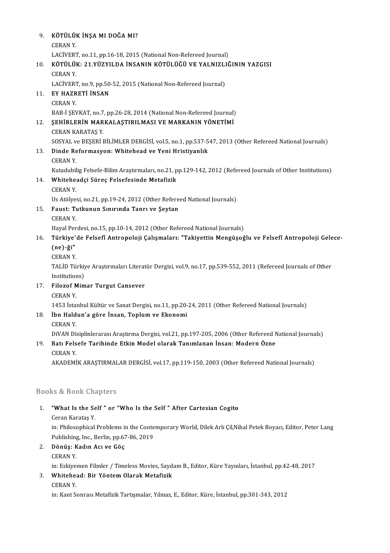| 9.              | KÖTÜLÜK İNŞA MI DOĞA MI?                                                                                                                      |
|-----------------|-----------------------------------------------------------------------------------------------------------------------------------------------|
|                 | <b>CERANY.</b>                                                                                                                                |
|                 | LACİVERT, no.11, pp.16-18, 2015 (National Non-Refereed Journal)                                                                               |
| 10 <sub>1</sub> | KÖTÜLÜK: 21.YÜZYILDA İNSANIN KÖTÜLÜĞÜ VE YALNIZLIĞININ YAZGISI                                                                                |
|                 | <b>CERAN Y.</b>                                                                                                                               |
|                 | LACİVERT, no.9, pp.50-52, 2015 (National Non-Refereed Journal)                                                                                |
| 11.             | EY HAZRETİ İNSAN                                                                                                                              |
|                 | <b>CERAN Y.</b>                                                                                                                               |
|                 | BAB-İ ŞEVKAT, no.7, pp.26-28, 2014 (National Non-Refereed Journal)                                                                            |
| 12.             | ŞEHİRLERİN MARKALAŞTIRILMASI VE MARKANIN YÖNETİMİ                                                                                             |
|                 | CERAN KARATAŞ Y<br>SOSYAL ve BEŞERİ BİLİMLER DERGİSİ, vol.5, no.1, pp.537-547, 2013 (Other Refereed National Journals)                        |
| 13.             | Dinde Reformasyon: Whitehead ve Yeni Hristiyanlık                                                                                             |
|                 | <b>CERAN Y.</b>                                                                                                                               |
|                 | Kutadubilig Felsefe-Bilim Araştırmaları, no.21, pp.129-142, 2012 (Refereed Journals of Other Institutions)                                    |
| 14.             | Whiteheadçi Süreç Felsefesinde Metafizik                                                                                                      |
|                 | <b>CERAN Y.</b>                                                                                                                               |
|                 | Us Atölyesi, no 21, pp 19-24, 2012 (Other Refereed National Journals)                                                                         |
| 15.             | Faust: Tutkunun Sınırında Tanrı ve Şeytan                                                                                                     |
|                 | <b>CERAN Y.</b>                                                                                                                               |
|                 | Hayal Perdesi, no.15, pp.10-14, 2012 (Other Refereed National Journals)                                                                       |
| 16.             | Türkiye'de Felsefî Antropoloji Çalışmaları: "Takiyettin Mengüşoğlu ve Felsefî Antropoloji Gelece-                                             |
|                 | $(ne)$ -ği"                                                                                                                                   |
|                 | <b>CERAN Y.</b>                                                                                                                               |
|                 | TALID Türkiye Araştırmaları Literatür Dergisi, vol.9, no.17, pp.539-552, 2011 (Refereed Journals of Other                                     |
|                 | Institutions)                                                                                                                                 |
| 17.             | <b>Filozof Mimar Turgut Cansever</b>                                                                                                          |
|                 | <b>CERANY.</b>                                                                                                                                |
| 18              | 1453 İstanbul Kültür ve Sanat Dergisi, no.11, pp.20-24, 2011 (Other Refereed National Journals)<br>İbn Haldun'a göre İnsan, Toplum ve Ekonomi |
|                 | <b>CERAN Y.</b>                                                                                                                               |
|                 | DiVAN Disiplinlerarası Araştırma Dergisi, vol.21, pp.197-205, 2006 (Other Refereed National Journals)                                         |
| 19.             | Batı Felsefe Tarihinde Etkin Model olarak Tanımlanan İnsan: Modern Özne                                                                       |
|                 | <b>CERAN Y.</b>                                                                                                                               |
|                 | AKADEMİK ARAŞTIRMALAR DERGİSİ, vol.17, pp.119-150, 2003 (Other Refereed National Journals)                                                    |
|                 |                                                                                                                                               |
|                 | <b>Books &amp; Book Chapters</b>                                                                                                              |
| 1.              | "What Is the Self" or "Who Is the Self" After Cartesian Cogito                                                                                |
|                 | Ceran Karataş Y.                                                                                                                              |
|                 | Dhilogophical Duchlame in the Contemporary World, Dilely Arly Cil Nihol Detaly Boycey, Editor, Detay Lang                                     |

"What Is the Self " or "Who Is the Self " After Cartesian Cogito<br>Ceran Karataş Y.<br>in: Philosophical Problems in the Contemporary World, Dilek Arlı Çil,Nihal Petek Boyacı, Editor, Peter Lang<br>Publishing Jng, Perlin, np.67,96 Ceran Karataş Y.<br>in: Philosophical Problems in the Conte<br>Publishing, Inc., Berlin, pp.67-86, 2019<br>Pënija: Kadın Ası ve Cës. Publishing, Inc., Berlin, pp.67-86, 2019

## 2. Dönüş: Kadın Acı ve Göç Dönüş: Kadın Acı ve Göç<br>CERAN Y.<br>in: Eskiyemen Filmler / Timeless Movies, Saydam B., Editor, Küre Yayınları, İstanbul, pp.42-48, 2017<br>Whitabaadı Bir Yöntem Olarak Metafirik.

## 3. Whitehead: Bir Yöntem Olarak Metafizik<br>CERAN Y. in: Eskiyer<br>**Whitehe:**<br>CERAN Y.<br>in: Kant S.

in: Kant Sonrası Metafizik Tartışmalar, Yılmaz, E., Editor, Küre, İstanbul, pp.301-343, 2012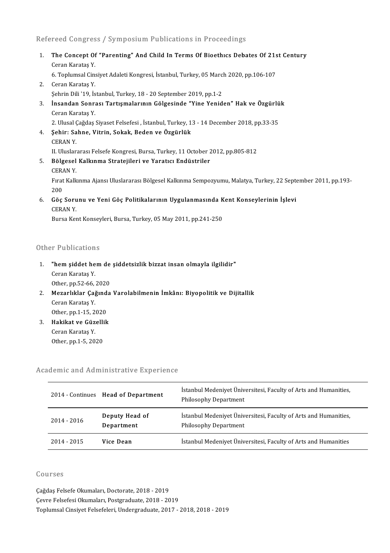### Refereed Congress / Symposium Publications in Proceedings

Refereed Congress / Symposium Publications in Proceedings<br>1. The Concept Of "Parenting" And Child In Terms Of Bioethics Debates Of 21st Century<br>Cerep Karetes V Teca Gongres<br>The Concept Of<br>Ceran Karataş Y.<br>6 Tonlumsal Cin The Concept Of "Parenting" And Child In Terms Of Bioethics Debates Of 21s<br>Ceran Karataş Y.<br>6. Toplumsal Cinsiyet Adaleti Kongresi, İstanbul, Turkey, 05 March 2020, pp.106-107<br>Ceran Karatas Y. Ceran Karataş Y.<br>6. Toplumsal Cinsiyet Adaleti Kongresi, İstanbul, Turkey, 05 Marc<br>2. Ceran Karataş Y.<br>5. Şehrin Dili '19, İstanbul, Turkey, 18 - 20 September 2019, pp.1-2 6. Toplumsal Cinsiyet Adaleti Kongresi, İstanbul, Turkey, 05 March 2020, pp.106-107 2. Ceran Karataş Y.<br>Şehrin Dili '19, İstanbul, Turkey, 18 - 20 September 2019, pp.1-2<br>3. İnsandan Sonrası Tartışmalarının Gölgesinde "Yine Yeniden" Hak ve Özgürlük<br>Ceren Karatas V Şehrin Dili '19, İs<br><mark>İnsandan Sonr:</mark><br>Ceran Karataş Y.<br>2. Ulusel Ceğdes İnsandan Sonrası Tartışmalarının Gölgesinde "Yine Yeniden" Hak ve Özgürlü<br>Ceran Karataş Y.<br>2. Ulusal Çağdaş Siyaset Felsefesi , İstanbul, Turkey, 13 - 14 December 2018, pp.33-35<br>Sehir: Sehne, Vitrin, Sekek, Beden ve Özgürl Ceran Karataş Y.<br>2. Ulusal Çağdaş Siyaset Felsefesi , İstanbul, Turkey, 1<br>4. Şehir: Sahne, Vitrin, Sokak, Beden ve Özgürlük<br>CERAN Y. 2. Ulusal ()<br>**Şehir: Sa**<br>CERAN Y.<br>H. Uluslar Şehir: Sahne, Vitrin, Sokak, Beden ve Özgürlük<br>CERAN Y.<br>II. Uluslararası Felsefe Kongresi, Bursa, Turkey, 11 October 2012, pp.805-812<br>Pölgesel Kalkınma Stratejileri ve Yaratısı Endüstriler 5. EGRAN Y.<br>3. II. Uluslararası Felsefe Kongresi, Bursa, Turkey, 11 October<br>5. Bölgesel Kalkınma Stratejileri ve Yaratıcı Endüstriler II. Uluslar<br><mark>Bölgesel</mark><br>CERAN Y.<br>Errat Kalk Fırat Kalkınma Ajansı Uluslararası Bölgesel Kalkınma Sempozyumu, Malatya, Turkey, 22 September 2011, pp.193-200 CERAN Y. Fırat Kalkınma Ajansı Uluslararası Bölgesel Kalkınma Sempozyumu, Malatya, Turkey, 22 Septo<br>200<br>6. Göç Sorunu ve Yeni Göç Politikalarının Uygulanmasında Kent Konseylerinin İşlevi<br>6. Göç Sorunu ve Yeni Göç Politikalarının Uy 200<br>Göç Soru<br>CERAN Y.<br><sup>Pursa Kor</sup> Göç Sorunu ve Yeni Göç Politikalarının Uygulanmasında K<br>CERAN Y.<br>Bursa Kent Konseyleri, Bursa, Turkey, 05 May 2011, pp.241-250

Bursa Kent Konseyleri, Bursa, Turkey, 05 May 2011, pp.241-250<br>Other Publications

- )ther Publications<br>1. "hem şiddet hem de şiddetsizlik bizzat insan olmayla ilgilidir"<br>Geren Karatas Y Them siddet he<br>"hem siddet he<br>Ceran Karataş Y.<br>Other nn 52.66 "hem şiddet hem de<br>Ceran Karataş Y.<br>Other, pp.52-66, 2020<br>Meranlıklar Cağında 2. Ceran Karataş Y.<br>2. Mezarlıklar Çağında Varolabilmenin İmkânı: Biyopolitik ve Dijitallik<br>2. Mezarlıklar Çağında Varolabilmenin İmkânı: Biyopolitik ve Dijitallik
- Other, pp.52-66,<br>Mezarlıklar Çağ<br>Ceran Karataş Y.<br>Other nn 1-15-2 Mezarlıklar Çağınd<br>Ceran Karataş Y.<br>Other, pp.1-15, 2020<br>Hakikat ve Güzellik Ceran Karataş Y.<br>Other, pp.1-15, 2020<br>3. **Hakikat ve Güzellik**<br>Ceran Karataş Y. Other, pp.1-15, 2020
- Other,pp.1-5,2020

#### Academic and Administrative Experience

| ademic and Administrative Experience |                                   |                                                                                                  |  |  |
|--------------------------------------|-----------------------------------|--------------------------------------------------------------------------------------------------|--|--|
|                                      | 2014 Continues Head of Department | Istanbul Medeniyet Üniversitesi, Faculty of Arts and Humanities,<br><b>Philosophy Department</b> |  |  |
| $2014 - 2016$                        | Deputy Head of<br>Department      | İstanbul Medeniyet Üniversitesi, Faculty of Arts and Humanities,<br><b>Philosophy Department</b> |  |  |
| 2014 - 2015                          | Vice Dean                         | İstanbul Medeniyet Üniversitesi, Faculty of Arts and Humanities                                  |  |  |

#### Courses

Çağdaş Felsefe Okumaları, Doctorate, 2018 - 2019 Çevre Felsefesi Okumaları, Postgraduate, 2018 - 2019 Toplumsal Cinsiyet Felsefeleri, Undergraduate, 2017 - 2018, 2018 - 2019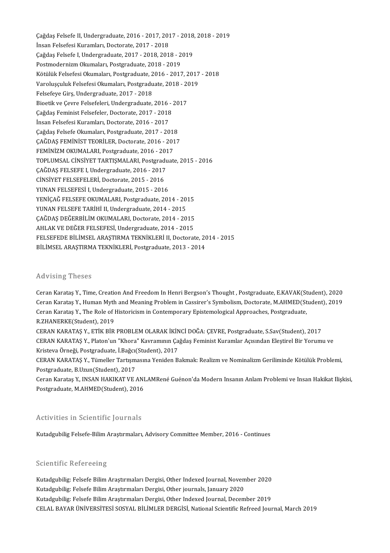Çağdaş Felsefe II, Undergraduate, 2016 - 2017, 2017 - 2018, 2018 - 2019<br>İnsan Felsefesi Kuramları, Destarata 2017, 2019 Çağdaş Felsefe II, Undergraduate, 2016 - 2017, 201<br>İnsan Felsefesi Kuramları, Doctorate, 2017 - 2018<br>Cağdaş Felsefe I, Undergraduate, 2017 - 2018, 201 Çağdaş Felsefe II, Undergraduate, 2016 - 2017, 2017 - 2018<br>İnsan Felsefesi Kuramları, Doctorate, 2017 - 2018<br>Çağdaş Felsefe I, Undergraduate, 2017 - 2018, 2018 - 2019<br>Pestmodernism Olaumaları, Pestaraduate, 2018, 2019 İnsan Felsefesi Kuramları, Doctorate, 2017 - 2018<br>Çağdaş Felsefe I, Undergraduate, 2017 - 2018, 2018 - 2019<br>Postmodernizm Okumaları, Postgraduate, 2018 - 2019 Çağdaş Felsefe I, Undergraduate, 2017 - 2018, 2018 - 2019<br>Postmodernizm Okumaları, Postgraduate, 2018 - 2019<br>Kötülük Felsefesi Okumaları, Postgraduate, 2016 - 2017, 2017 - 2018<br>Varolusculuk Felsefesi Okumaları, Postgraduat Postmodernizm Okumaları, Postgraduate, 2018 - 2019<br>Kötülük Felsefesi Okumaları, Postgraduate, 2016 - 2017, 2017<br>Varoluşçuluk Felsefesi Okumaları, Postgraduate, 2018 - 2019<br>Felsefeye Cirs, Undergraduate, 2017, 2019 Kötülük Felsefesi Okumaları, Postgraduate, 2<br>Varoluşçuluk Felsefesi Okumaları, Postgradu<br>Felsefeye Girş, Undergraduate, 2017 - 2018<br>Biostik ve Cevre Felsefeleri, Undergraduate Varoluşçuluk Felsefesi Okumaları, Postgraduate, 2018 - 2019<br>Felsefeye Girş, Undergraduate, 2017 - 2018<br>Bioetik ve Çevre Felsefeleri, Undergraduate, 2016 - 2017 Felsefeye Girş, Undergraduate, 2017 - 2018<br>Bioetik ve Çevre Felsefeleri, Undergraduate, 2016 - .<br>Çağdaş Feminist Felsefeler, Doctorate, 2017 - 2018<br>İnsan Felsefesi Kuramları, Doctorate, 2016 - 2017 Bioetik ve Çevre Felsefeleri, Undergraduate, 2016<br>Çağdaş Feminist Felsefeler, Doctorate, 2017 - 2018<br>İnsan Felsefesi Kuramları, Doctorate, 2016 - 2017<br>Çağdaş Felsefe Olumaları, Doctorate, 2016 - 2017 Çağdaş Feminist Felsefeler, Doctorate, 2017 - 2018<br>İnsan Felsefesi Kuramları, Doctorate, 2016 - 2017<br>Çağdaş Felsefe Okumaları, Postgraduate, 2017 - 2018<br>ÇAĞDAŞ FEMİNIST TEORİLER, Doctorate, 2016 - 2017 İnsan Felsefesi Kuramları, Doctorate, 2016 - 2017<br>Çağdaş Felsefe Okumaları, Postgraduate, 2017 - 2018<br>ÇAĞDAŞ FEMİNİST TEORİLER, Doctorate, 2016 - 2017<br>FEMİNİZM OKUMALARI, Postgraduate, 2016 - 2017 Çağdaş Felsefe Okumaları, Postgraduate, 2017 - 201<br>ÇAĞDAŞ FEMİNİST TEORİLER, Doctorate, 2016 - 201<br>FEMİNİZM OKUMALARI, Postgraduate, 2016 - 2017<br>TORLUMSAL CİNSİVET TARTISMALARL Rataraduat ÇAĞDAŞ FEMİNİST TEORİLER, Doctorate, 2016 - 2017<br>FEMİNİZM OKUMALARI, Postgraduate, 2016 - 2017<br>TOPLUMSAL CİNSİYET TARTIŞMALARI, Postgraduate, 2015 - 2016<br>CAĞDAS EELSEELL Undergraduate, 2016 - 2017 FEMİNİZM OKUMALARI, Postgraduate, 2016 - 2017<br>TOPLUMSAL CİNSİYET TARTIŞMALARI, Postgradu<br>ÇAĞDAŞ FELSEFE I, Undergraduate, 2016 - 2017<br>CİNSİYET EFLSEFELERİ, Dostarata, 2015 - 2016 TOPLUMSAL CİNSİYET TARTIŞMALARI, Postgrad<br>ÇAĞDAŞ FELSEFE I, Undergraduate, 2016 - 2017<br>CİNSİYET FELSEFELERİ, Doctorate, 2015 - 2016<br>VINAN EELSEFELERİ, Undergraduate, 2015 - 2016 CAĞDAŞ FELSEFE I, Undergraduate, 2016 - 2017<br>CİNSİYET FELSEFELERİ, Doctorate, 2015 - 2016<br>YUNAN FELSEFESİ I, Undergraduate, 2015 - 2016 CİNSİYET FELSEFELERİ, Doctorate, 2015 - 2016<br>YUNAN FELSEFESİ I, Undergraduate, 2015 - 2016<br>YENİÇAĞ FELSEFE OKUMALARI, Postgraduate, 2014 - 2015<br>YUNAN EELSEFE TARİHİ IL Undergraduata 2014 - 2015 YUNAN FELSEFESİ I, Undergraduate, 2015 - 2016<br>YENİÇAĞ FELSEFE OKUMALARI, Postgraduate, 2014 - 20<br>YUNAN FELSEFE TARİHİ II, Undergraduate, 2014 - 2015<br>CAĞDAS PEĞERRILIM OKUMALARI, Pestersta, 2014 - 20 YENİÇAĞ FELSEFE OKUMALARI, Postgraduate, 2014 - 2015<br>YUNAN FELSEFE TARİHİ II, Undergraduate, 2014 - 2015<br>ÇAĞDAŞ DEĞERBİLİM OKUMALARI, Doctorate, 2014 - 2015<br>AHLAK VE DEĞER EELSEESİ, Undergraduate, 2014 - 2015 YUNAN FELSEFE TARİHİ II, Undergraduate, 2014 - 2015<br>ÇAĞDAŞ DEĞERBİLİM OKUMALARI, Doctorate, 2014 - 2015<br>AHLAK VE DEĞER FELSEFESİ, Undergraduate, 2014 - 2015<br>EFL SEFEDE BİLİMSEL ARASTIRMA TEKNİKLERİ IL Doctorat AHLAK VE DEĞER FELSEFESİ, Undergraduate, 2014 - 2015<br>FELSEFEDE BİLİMSEL ARAŞTIRMA TEKNİKLERİ II, Doctorate, 2014 - 2015 BİLİMSELARAŞTIRMATEKNİKLERİ,Postgraduate,2013-2014

#### Advising Theses

Ceran Karataş Y., Time, Creation And Freedom In Henri Bergson's Thought , Postgraduate, E.KAVAK(Student), 2020 Ceran Karataş Y., Human Myth and Meaning Problem in Cassirer's Symbolism, Doctorate, M.AHMED(Student), 2019 Ceran Karataş Y., Time, Creation And Freedom In Henri Bergson's Thought , Postgraduate, E.KAVAK(St<br>Ceran Karataş Y., Human Myth and Meaning Problem in Cassirer's Symbolism, Doctorate, M.AHMED(St<br>Ceran Karataş Y., The Role Ceran Karataş Y., Human Myth<br>Ceran Karataş Y., The Role of I<br>R.ZHANERKE(Student), 2019<br>CERAN KARATAS V. ETİK PİD Ceran Karataş Y., The Role of Historicism in Contemporary Epistemological Approaches, Postgraduate,<br>R.ZHANERKE(Student), 2019<br>CERAN KARATAŞ Y., ETİK BİR PROBLEM OLARAK İKİNCİ DOĞA: ÇEVRE, Postgraduate, S.Sav(Student), 2017

R.ZHANERKE(Student), 2019<br>CERAN KARATAŞ Y., ETİK BİR PROBLEM OLARAK İKİNCİ DOĞA: ÇEVRE, Postgraduate, S.Sav(Student), 2017<br>CERAN KARATAŞ Y., Platon'un "Khora" Kavramının Çağdaş Feminist Kuramlar Açısından Eleştirel Bir Yor CERAN KARATAŞ Y., ETİK BİR PROBLEM OLARAK İKİNCİ DOĞA: ÇEVRE, Postgraduate, S.Sav(Student), 2017 CERAN KARATAŞ Y., Platon'un "Khora" Kavramının Çağdaş Feminist Kuramlar Açısından Eleştirel Bir Yorumu ve<br>Kristeva Örneği, Postgraduate, İ.Bağcı(Student), 2017<br>CERAN KARATAŞ Y., Tümeller Tartışmasına Yeniden Bakmak: Realiz

Kristeva Örneği, Postgraduate, İ.Bağcı<br>CERAN KARATAŞ Y., Tümeller Tartışm<br>Postgraduate, B.Uzun(Student), 2017<br>Ceran Karatas Y. INSAN HAKIKAT VE CERAN KARATAŞ Y., Tümeller Tartışmasına Yeniden Bakmak: Realizm ve Nominalizm Geriliminde Kötülük Problemi,<br>Postgraduate, B.Uzun(Student), 2017<br>Ceran Karataş Y., INSAN HAKIKAT VE ANLAMRené Guénon'da Modern Insanın Anlam Pr

Postgraduate, B.Uzun(Student), 2017<br>Ceran Karataş Y., INSAN HAKIKAT VE ANLAMRené Guénon'da Modern Insanın Anlam Problemi ve Insan Hakikat Ilişkisi,<br>Postgraduate, M.AHMED(Student), 2016

#### Activities in Scientific Journals

Kutadgubilig Felsefe-Bilim Araştırmaları, Advisory Committee Member, 2016 - Continues

#### **Scientific Refereeing**

Scientific Refereeing<br>Kutadgubilig: Felsefe Bilim Araştırmaları Dergisi, Other Indexed Journal, November 2020<br>Kutadgubilig: Felsefe Bilim Arastırmaları Dergisi, Other journals Journal, November 2020 Berentime Kerereemg<br>Kutadgubilig: Felsefe Bilim Araştırmaları Dergisi, Other Indexed Journal, Novem<br>Kutadgubilig: Felsefe Bilim Araştırmaları Dergisi, Other Journals, January 2020<br>Kutadgubilig: Felsefe Bilim Arastırmaları Kutadgubilig: Felsefe Bilim Araştırmaları Dergisi, Other journals, January 2020<br>Kutadgubilig: Felsefe Bilim Araştırmaları Dergisi, Other Indexed Journal, December 2019 CELAL BAYAR ÜNİVERSİTESİ SOSYAL BİLİMLER DERGİSİ, National Scientific Refreed Journal, March 2019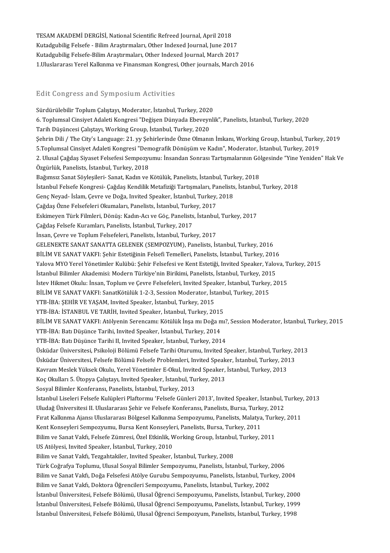TESAM AKADEMİ DERGİSİ, National Scientific Refreed Journal, April 2018<br>Kutadrubiliz Felsefe - Bilim Arestumaları, Other Indexed Journal, Iune 201 TESAM AKADEMİ DERGİSİ, National Scientific Refreed Journal, April 2018<br>Kutadgubilig Felsefe - Bilim Araştırmaları, Other Indexed Journal, June 2017<br>Kutadgubilig Felsefe Bilim Arastırmaları, Other Indexed Journal, Mareb 201 TESAM AKADEMİ DERGİSİ, National Scientific Refreed Journal, April 2018<br>Kutadgubilig Felsefe - Bilim Araştırmaları, Other Indexed Journal, June 2017<br>Kutadgubilig Felsefe-Bilim Araştırmaları, Other Indexed Journal, March 201 Kutadgubilig Felsefe - Bilim Araştırmaları, Other Indexed Journal, June 2017<br>Kutadgubilig Felsefe-Bilim Araştırmaları, Other Indexed Journal, March 2017<br>1.Uluslararası Yerel Kalkınma ve Finansman Kongresi, Other journals,

#### Edit Congress and Symposium Activities

Edit Congress and Symposium Activities<br>Sürdürülebilir Toplum Çalıştayı, Moderator, İstanbul, Turkey, 2020<br>6. Toplumçal Cinsiyat Adalati Kangresi "Dağısan Dünyada Ebeyeynli 6. Toplumsal Cinsiyet Adaleti Kongresi "Değişen Dünyada Ebeveynlik", Panelists, İstanbul, Turkey, 2020<br>Tarih Düşüncesi Çalıştayı, Working Group, İstanbul, Turkey, 2020 Sürdürülebilir Toplum Çalıştayı, Moderator, İstanbul, Turkey, 2020<br>6. Toplumsal Cinsiyet Adaleti Kongresi "Değişen Dünyada Ebeveyn<br>Tarih Düşüncesi Çalıştayı, Working Group, İstanbul, Turkey, 2020<br>Sehrin Dili / The Gitr's L 6. Toplumsal Cinsiyet Adaleti Kongresi "Değişen Dünyada Ebeveynlik", Panelists, İstanbul, Turkey, 2020<br>Tarih Düşüncesi Çalıştayı, Working Group, İstanbul, Turkey, 2020<br>Şehrin Dili / The City's Language: 21. yy Şehirlerinde Tarih Düşüncesi Çalıştayı, Working Group, İstanbul, Turkey, 2020<br>Şehrin Dili / The City's Language: 21. yy Şehirlerinde Özne Olmanın İmkanı, Working Group, İstanbul, Turkey<br>5.Toplumsal Cinsiyet Adaleti Kongresi "Demografik Şehrin Dili / The City's Language: 21. yy Şehirlerinde Özne Olmanın İmkanı, Working Group, İstanbul, Turkey, 2019<br>5.Toplumsal Cinsiyet Adaleti Kongresi "Demografik Dönüşüm ve Kadın", Moderator, İstanbul, Turkey, 2019<br>2. Ul 5.Toplumsal Cinsiyet Adaleti Kongresi "Demografik Dönüşüm ve Kadın", Moderator, İstanbul, Turkey, 2019<br>2. Ulusal Çağdaş Siyaset Felsefesi Sempozyumu: İnsandan Sonrası Tartışmalarının Gölgesinde "Yine Yenideı<br>Özgürlük, Pane 2. Ulusal Çağdaş Siyaset Felsefesi Sempozyumu: İnsandan Sonrası Tartışmalarının Gölgesinde "Yine Yeniden" Hak Ve Özgürlük, Panelists, İstanbul, Turkey, 2018<br>Bağımsız Sanat Söyleşileri- Sanat, Kadın ve Kötülük, Panelists, İstanbul, Turkey, 2018<br>İstanbul Felsefe Kongresi- Çağdaş Kendilik Metafiziği Tartışmaları, Panelists, İstanbul, Tu Bağımsız Sanat Söyleşileri- Sanat, Kadın ve Kötülük, Panelists, İstanbul, Turk<br>İstanbul Felsefe Kongresi- Çağdaş Kendilik Metafiziği Tartışmaları, Panelists<br>Genç Neyad- İslam, Çevre ve Doğa, Invited Speaker, İstanbul, Turk İstanbul Felsefe Kongresi- Çağdaş Kendilik Metafiziği Tartışmaları, Pa<br>Genç Neyad- İslam, Çevre ve Doğa, İnvited Speaker, İstanbul, Turkey,<br>Çağdaş Özne Felsefeleri Okumaları, Panelists, İstanbul, Turkey, 2017<br>Felsimeyen Tü Genç Neyad- İslam, Çevre ve Doğa, Invited Speaker, İstanbul, Turkey, 2018<br>Çağdaş Özne Felsefeleri Okumaları, Panelists, İstanbul, Turkey, 2017<br>Eskimeyen Türk Filmleri, Dönüş: Kadın-Acı ve Göç, Panelists, İstanbul, Turkey, Çağdaş Özne Felsefeleri Okumaları, Panelists, İstanbul, Turk<br>Eskimeyen Türk Filmleri, Dönüş: Kadın-Acı ve Göç, Panelists<br>Çağdaş Felsefe Kuramları, Panelists, İstanbul, Turkey, 2017<br>İncan Caure ve Toplum Felsefeleri, Paneli Eskimeyen Türk Filmleri, Dönüş: Kadın-Acı ve Göç, Panelists, İstanbul<br>Çağdaş Felsefe Kuramları, Panelists, İstanbul, Turkey, 2017<br>İnsan, Çevre ve Toplum Felsefeleri, Panelists, İstanbul, Turkey, 2017<br>CELENEKTE SANAT SANATT Çağdaş Felsefe Kuramları, Panelists, İstanbul, Turkey, 2017<br>İnsan, Çevre ve Toplum Felsefeleri, Panelists, İstanbul, Turkey, 2017<br>GELENEKTE SANAT SANATTA GELENEK (SEMPOZYUM), Panelists, İstanbul, Turkey, 2016 BİLİM VE SANAT VAKFI: Şehir Estetiğinin Felsefi Temelleri, Panelists, İstanbul, Turkey, 2016 Yalova MYO Yerel Yönetimler Kulübü: Şehir Felsefesi ve Kent Estetiği, Invited Speaker, Yalova, Turkey, 2015 BİLİM VE SANAT VAKFI: Şehir Estetiğinin Felsefi Temelleri, Panelists, İstanbul, Turkey, 2016<br>Yalova MYO Yerel Yönetimler Kulübü: Şehir Felsefesi ve Kent Estetiği, Invited Speaker, Yalov<br>İstanbul Bilimler Akademisi: Modern Yalova MYO Yerel Yönetimler Kulübü: Şehir Felsefesi ve Kent Estetiği, Invited Speaker, Yalova, T<br>İstanbul Bilimler Akademisi: Modern Türkiye'nin Birikimi, Panelists, İstanbul, Turkey, 2015<br>İstev Hikmet Okulu: İnsan, Toplum İstanbul Bilimler Akademisi: Modern Türkiye'nin Birikimi, Panelists, İstanbul, Turkey, 201<br>İstev Hikmet Okulu: İnsan, Toplum ve Çevre Felsefeleri, İnvited Speaker, İstanbul, Turkey,<br>BİLİM VE SANAT VAKFI: SanatKötülük 1-2-3 İstev Hikmet Okulu: İnsan, Toplum ve Çevre Felsefeleri, Invited Spea<br>BİLİM VE SANAT VAKFI: SanatKötülük 1-2-3, Session Moderator, İst<br>YTB-İBA: ŞEHİR VE YAŞAM, Invited Speaker, İstanbul, Turkey, 2015<br>YTB İBA: İSTANBUL VE TA BİLİM VE SANAT VAKFI: SanatKötülük 1-2-3, Session Moderator, İstanb<br>YTB-İBA: ŞEHİR VE YAŞAM, Invited Speaker, İstanbul, Turkey, 2015<br>YTB-İBA: İSTANBUL VE TARİH, Invited Speaker, İstanbul, Turkey, 2015<br>PİLİM VE SANAT VAKEL YTB-İBA: ŞEHİR VE YAŞAM, Invited Speaker, İstanbul, Turkey, 2015<br>YTB-İBA: İSTANBUL VE TARİH, Invited Speaker, İstanbul, Turkey, 2015<br>BİLİM VE SANAT VAKFI: Atölyenin Serencamı: Kötülük İnşa mı Doğa mı?, Session Moderator, İ YTB-İBA: İSTANBUL VE TARİH, Invited Speaker, İstanbul, Turkey, 2015<br>BİLİM VE SANAT VAKFI: Atölyenin Serencamı: Kötülük İnşa mı Doğa m<br>YTB-İBA: Batı Düşünce Tarihi, Invited Speaker, İstanbul, Turkey, 2014<br>YTB-<sup>İBA: Batı Düş</sup> BİLİM VE SANAT VAKFI: Atölyenin Serencamı: Kötülük İnşa mı Doğa mı?<br>YTB-İBA: Batı Düşünce Tarihi, Invited Speaker, İstanbul, Turkey, 2014<br>YTB-İBA: Batı Düşünce Tarihi II, Invited Speaker, İstanbul, Turkey, 2014<br>Üsküder Üni YTB-İBA: Batı Düşünce Tarihi, Invited Speaker, İstanbul, Turkey, 2014<br>YTB-İBA: Batı Düşünce Tarihi II, Invited Speaker, İstanbul, Turkey, 2014<br>Üsküdar Üniversitesi, Psikoloji Bölümü Felsefe Tarihi Oturumu, Invited Speaker, YTB-İBA: Batı Düşünce Tarihi II, Invited Speaker, İstanbul, Turkey, 2014<br>Üsküdar Üniversitesi, Psikoloji Bölümü Felsefe Tarihi Oturumu, Invited Speaker, İstanbul, Turkey, 2<br>Üsküdar Üniversitesi, Felsefe Bölümü Felsefe Prob Üsküdar Üniversitesi, Psikoloji Bölümü Felsefe Tarihi Oturumu, Invited Speaker, İstanbul, Turkey, 20<br>Üsküdar Üniversitesi, Felsefe Bölümü Felsefe Problemleri, Invited Speaker, İstanbul, Turkey, 2013<br>Kavram Meslek Yüksek Ok Üsküdar Üniversitesi, Felsefe Bölümü Felsefe Problemleri, Invited Speak<br>Kavram Meslek Yüksek Okulu, Yerel Yönetimler E-Okul, Invited Speaker,<br>Koç Okulları 5. Ütopya Çalıştayı, Invited Speaker, İstanbul, Turkey, 2013<br>Sesval Kavram Meslek Yüksek Okulu, Yerel Yönetimler E-Okul, Invited Speaker, İstanbul, Turkey, 2013<br>Koç Okulları 5. Ütopya Çalıştayı, Invited Speaker, İstanbul, Turkey, 2013<br>Sosyal Bilimler Konferansı, Panelists, İstanbul, Turkey Koç Okulları 5. Ütopya Çalıştayı, Invited Speaker, İstanbul, Turkey, 2013<br>Sosyal Bilimler Konferansı, Panelists, İstanbul, Turkey, 2013<br>İstanbul Liseleri Felsefe Kulüpleri Plaftormu 'Felsefe Günleri 2013', Invited Speaker, Sosyal Bilimler Konferansı, Panelists, İstanbul, Turkey, 2013<br>İstanbul Liseleri Felsefe Kulüpleri Plaftormu 'Felsefe Günleri 2013', Invited Speaker, İstanbul, 1<br>Uludağ Üniversitesi II. Uluslararası Şehir ve Felsefe Konfera İstanbul Liseleri Felsefe Kulüpleri Plaftormu 'Felsefe Günleri 2013', Invited Speaker, İstanbul, Turkey<br>Uludağ Üniversitesi II. Uluslararası Şehir ve Felsefe Konferansı, Panelists, Bursa, Turkey, 2012<br>Fırat Kalkınma Ajansı Uludağ Üniversitesi II. Uluslararası Şehir ve Felsefe Konferansı, Panelists, Bursa, Turke<br>Fırat Kalkınma Ajansı Uluslararası Bölgesel Kalkınma Sempozyumu, Panelists, Malatya<br>Kent Konseyleri Sempozyumu, Bursa Kent Konseyler Fırat Kalkınma Ajansı Uluslararası Bölgesel Kalkınma Sempozyumu, Panelists, Malatya, Turk<br>Kent Konseyleri Sempozyumu, Bursa Kent Konseyleri, Panelists, Bursa, Turkey, 2011<br>Bilim ve Sanat Vakfı, Felsefe Zümresi, Özel Etkinl Kent Konseyleri Sempozyumu, Bursa Kent Konseyleri, Panelists, Bursa, Turkey, 2011<br>Bilim ve Sanat Vakfı, Felsefe Zümresi, Özel Etkinlik, Working Group, İstanbul, Turkey, 2011<br>US Atölyesi, Invited Speaker, İstanbul, Turkey, Bilim ve Sanat Vakfı, Tezgahtakiler, Invited Speaker, İstanbul, Turkey, 2008 US Atölyesi, Invited Speaker, İstanbul, Turkey, 2010<br>Bilim ve Sanat Vakfı, Tezgahtakiler, Invited Speaker, İstanbul, Turkey, 2008<br>Türk Coğrafya Toplumu, Ulusal Sosyal Bilimler Sempozyumu, Panelists, İstanbul, Turkey, 2006<br> Bilim ve Sanat Vakfı, Tezgahtakiler, Invited Speaker, İstanbul, Turkey, 2008<br>Türk Coğrafya Toplumu, Ulusal Sosyal Bilimler Sempozyumu, Panelists, İstanbul, Turkey, 2006<br>Bilim ve Sanat Vakfı, Doğa Felsefesi Atölye Gurubu Se Türk Coğrafya Toplumu, Ulusal Sosyal Bilimler Sempozyumu, Panelists, İstanbul, Turkey,<br>Bilim ve Sanat Vakfı, Doğa Felsefesi Atölye Gurubu Sempozyumu, Panelists, İstanbul, Turk<br>Bilim ve Sanat Vakfı, Doktora Öğrencileri Semp Bilim ve Sanat Vakfı, Doğa Felsefesi Atölye Gurubu Sempozyumu, Panelists, İstanbul, Turkey, 2004<br>Bilim ve Sanat Vakfı, Doktora Öğrencileri Sempozyumu, Panelists, İstanbul, Turkey, 2002<br>İstanbul Üniversitesi, Felsefe Bölümü Bilim ve Sanat Vakfı, Doktora Öğrencileri Sempozyumu, Panelists, İstanbul, Turkey, 2002<br>İstanbul Üniversitesi, Felsefe Bölümü, Ulusal Öğrenci Sempozyumu, Panelists, İstanbul, Turkey, 2000<br>İstanbul Üniversitesi, Felsefe Böl İstanbul Üniversitesi, Felsefe Bölümü, Ulusal Öğrenci Sempozyumu, Panelists, İstanbul, Turkey, 200<br>İstanbul Üniversitesi, Felsefe Bölümü, Ulusal Öğrenci Sempozyumu, Panelists, İstanbul, Turkey, 199<br>İstanbul Üniversitesi, F